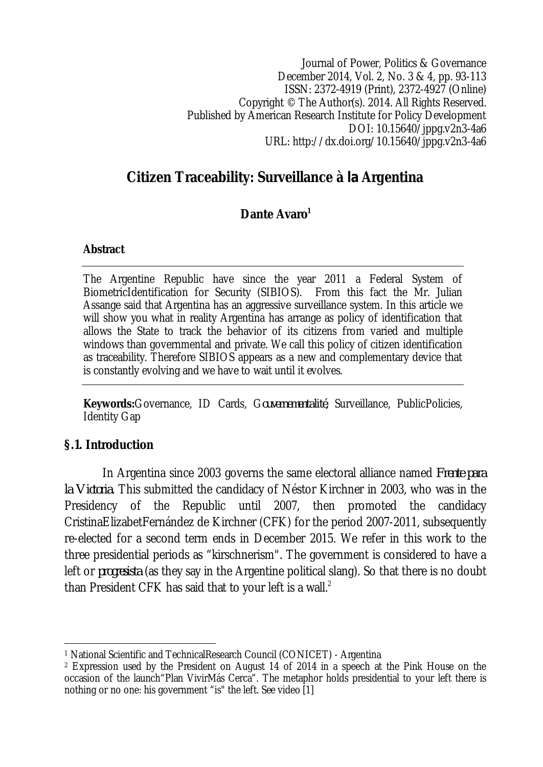Journal of Power, Politics & Governance December 2014, Vol. 2, No. 3 & 4, pp. 93-113 ISSN: 2372-4919 (Print), 2372-4927 (Online) Copyright © The Author(s). 2014. All Rights Reserved. Published by American Research Institute for Policy Development DOI: 10.15640/jppg.v2n3-4a6 URL: http://dx.doi.org/10.15640/jppg.v2n3-4a6

# **Citizen Traceability: Surveillance à** *la* **Argentina**

## **Dante Avaro<sup>1</sup>**

#### **Abstract**

The Argentine Republic have since the year 2011 a Federal System of BiometricIdentification for Security (SIBIOS). From this fact the Mr. Julian Assange said that Argentina has an aggressive surveillance system. In this article we will show you what in reality Argentina has arrange as policy of identification that allows the State to track the behavior of its citizens from varied and multiple windows than governmental and private. We call this policy of citizen identification as traceability. Therefore SIBIOS appears as a new and complementary device that is constantly evolving and we have to wait until it evolves.

**Keywords:**Governance, ID Cards, G*ouvernementalité,* Surveillance, PublicPolicies, Identity Gap

## **§.1. Introduction**

In Argentina since 2003 governs the same electoral alliance named *Frente para la Victoria*. This submitted the candidacy of Néstor Kirchner in 2003, who was in the Presidency of the Republic until 2007, then promoted the candidacy CristinaElizabetFernández de Kirchner (CFK) for the period 2007-2011, subsequently re-elected for a second term ends in December 2015. We refer in this work to the three presidential periods as "kirschnerism". The government is considered to have a left or *progresista* (as they say in the Argentine political slang). So that there is no doubt than President CFK has said that to your left is a wall. $<sup>2</sup>$ </sup>

 $\overline{\phantom{a}}$ <sup>1</sup> National Scientific and TechnicalResearch Council (CONICET) - Argentina

<sup>2</sup> Expression used by the President on August 14 of 2014 in a speech at the Pink House on the occasion of the launch"Plan VivirMás Cerca". The metaphor holds presidential to your left there is nothing or no one: his government "is" the left. See video [1]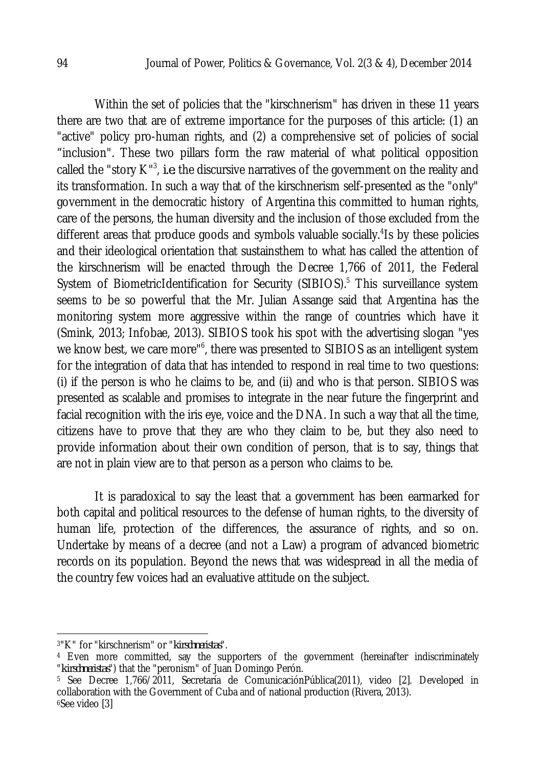Within the set of policies that the "kirschnerism" has driven in these 11 years there are two that are of extreme importance for the purposes of this article: (1) an "active" policy pro-human rights, and (2) a comprehensive set of policies of social "inclusion". These two pillars form the raw material of what political opposition called the "story K"<sup>3</sup>, *i.e.* the discursive narratives of the government on the reality and its transformation. In such a way that of the kirschnerism self-presented as the "only" government in the democratic history of Argentina this committed to human rights, care of the persons, the human diversity and the inclusion of those excluded from the different areas that produce goods and symbols valuable socially.<sup>4</sup>Is by these policies and their ideological orientation that sustainsthem to what has called the attention of the kirschnerism will be enacted through the Decree 1,766 of 2011, the Federal System of BiometricIdentification for Security (SIBIOS).<sup>5</sup> This surveillance system seems to be so powerful that the Mr. Julian Assange said that Argentina has the monitoring system more aggressive within the range of countries which have it (Smink, 2013; Infobae, 2013). SIBIOS took his spot with the advertising slogan "yes we know best, we care more"<sup>6</sup>, there was presented to SIBIOS as an intelligent system for the integration of data that has intended to respond in real time to two questions: (i) if the person is who he claims to be, and (ii) and who is that person. SIBIOS was presented as scalable and promises to integrate in the near future the fingerprint and facial recognition with the iris eye, voice and the DNA. In such a way that all the time, citizens have to prove that they are who they claim to be, but they also need to provide information about their own condition of person, that is to say, things that are not in plain view are to that person as a person who claims to be.

It is paradoxical to say the least that a government has been earmarked for both capital and political resources to the defense of human rights, to the diversity of human life, protection of the differences, the assurance of rights, and so on. Undertake by means of a decree (and not a Law) a program of advanced biometric records on its population. Beyond the news that was widespread in all the media of the country few voices had an evaluative attitude on the subject.

 $\overline{a}$ <sup>3</sup>"K" for "kirschnerism" or "*kirschneristas*".

<sup>4</sup> Even more committed, say the supporters of the government (hereinafter indiscriminately "*kirschneristas*") that the "peronism" of Juan Domingo Perón.

<sup>5</sup> See Decree 1,766/2011, Secretaría de ComunicaciónPública(2011), video [2]. Developed in collaboration with the Government of Cuba and of national production (Rivera, 2013). <sup>6</sup>See video [3]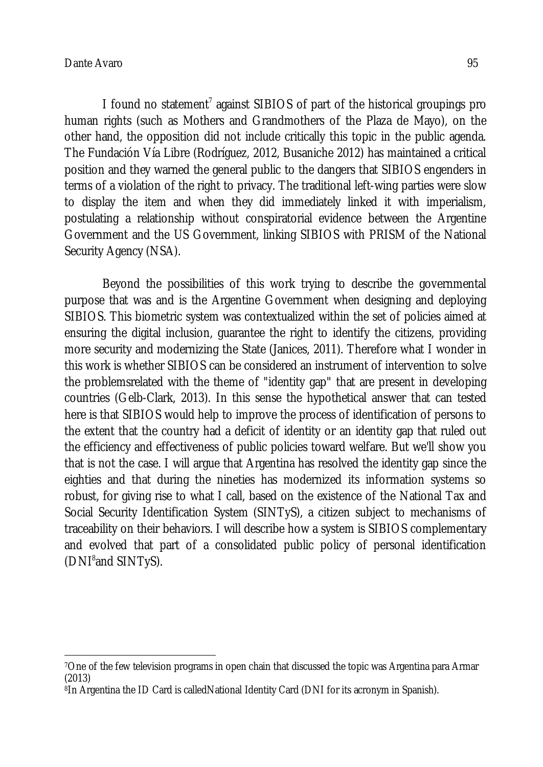I found no statement<sup>7</sup> against SIBIOS of part of the historical groupings pro human rights (such as Mothers and Grandmothers of the Plaza de Mayo), on the other hand, the opposition did not include critically this topic in the public agenda. The Fundación Vía Libre (Rodríguez, 2012, Busaniche 2012) has maintained a critical position and they warned the general public to the dangers that SIBIOS engenders in terms of a violation of the right to privacy. The traditional left-wing parties were slow to display the item and when they did immediately linked it with imperialism, postulating a relationship without conspiratorial evidence between the Argentine Government and the US Government, linking SIBIOS with PRISM of the National Security Agency (NSA).

Beyond the possibilities of this work trying to describe the governmental purpose that was and is the Argentine Government when designing and deploying SIBIOS. This biometric system was contextualized within the set of policies aimed at ensuring the digital inclusion, guarantee the right to identify the citizens, providing more security and modernizing the State (Janices, 2011). Therefore what I wonder in this work is whether SIBIOS can be considered an instrument of intervention to solve the problemsrelated with the theme of "identity gap" that are present in developing countries (Gelb-Clark, 2013). In this sense the hypothetical answer that can tested here is that SIBIOS would help to improve the process of identification of persons to the extent that the country had a deficit of identity or an identity gap that ruled out the efficiency and effectiveness of public policies toward welfare. But we'll show you that is not the case. I will argue that Argentina has resolved the identity gap since the eighties and that during the nineties has modernized its information systems so robust, for giving rise to what I call, based on the existence of the National Tax and Social Security Identification System (SINTyS), a citizen subject to mechanisms of traceability on their behaviors. I will describe how a system is SIBIOS complementary and evolved that part of a consolidated public policy of personal identification (DNI<sup>8</sup>and SINTyS).

 $\overline{\phantom{a}}$ <sup>7</sup>One of the few television programs in open chain that discussed the topic was Argentina para Armar (2013)

<sup>8</sup>In Argentina the ID Card is calledNational Identity Card (DNI for its acronym in Spanish).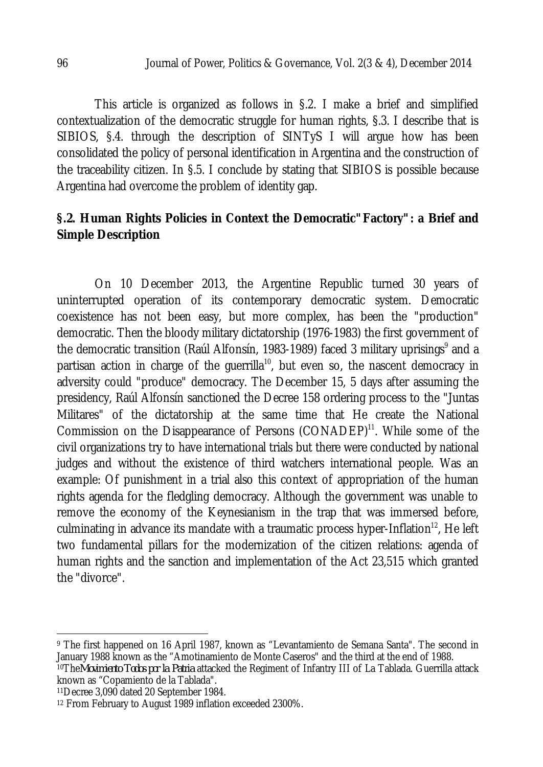This article is organized as follows in §.2. I make a brief and simplified contextualization of the democratic struggle for human rights, §.3. I describe that is SIBIOS, §.4. through the description of SINTyS I will argue how has been consolidated the policy of personal identification in Argentina and the construction of the traceability citizen. In §.5. I conclude by stating that SIBIOS is possible because Argentina had overcome the problem of identity gap.

## **§.2. Human Rights Policies in Context the Democratic"Factory": a Brief and Simple Description**

On 10 December 2013, the Argentine Republic turned 30 years of uninterrupted operation of its contemporary democratic system. Democratic coexistence has not been easy, but more complex, has been the "production" democratic. Then the bloody military dictatorship (1976-1983) the first government of the democratic transition (Raúl Alfonsín, 1983-1989) faced 3 military uprisings $^{\circ}$  and a partisan action in charge of the guerrilla $^{\scriptscriptstyle{10}}$ , but even so, the nascent democracy in adversity could "produce" democracy. The December 15, 5 days after assuming the presidency, Raúl Alfonsín sanctioned the Decree 158 ordering process to the "Juntas Militares" of the dictatorship at the same time that He create the National Commission on the Disappearance of Persons (CONADEP)<sup>11</sup>. While some of the civil organizations try to have international trials but there were conducted by national judges and without the existence of third watchers international people. Was an example: Of punishment in a trial also this context of appropriation of the human rights agenda for the fledgling democracy. Although the government was unable to remove the economy of the Keynesianism in the trap that was immersed before, culminating in advance its mandate with a traumatic process hyper-Inflation $^{\scriptstyle12}$ , He left two fundamental pillars for the modernization of the citizen relations: agenda of human rights and the sanction and implementation of the Act 23,515 which granted the "divorce".

 $\overline{a}$ 

<sup>9</sup> The first happened on 16 April 1987, known as "Levantamiento de Semana Santa". The second in January 1988 known as the "Amotinamiento de Monte Caseros" and the third at the end of 1988. <sup>10</sup>The*Movimiento Todos por la Patria* attacked the Regiment of Infantry III of La Tablada. Guerrilla attack known as "Copamiento de la Tablada".

<sup>11</sup>Decree 3,090 dated 20 September 1984.

<sup>12</sup> From February to August 1989 inflation exceeded 2300%.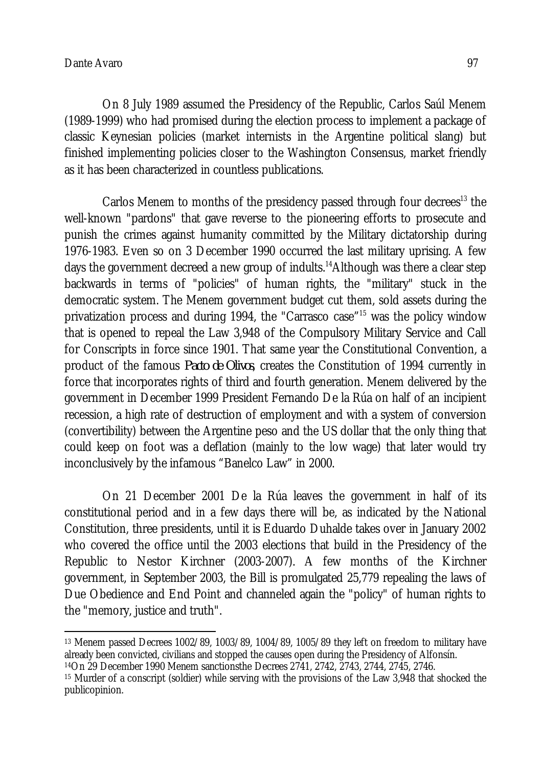On 8 July 1989 assumed the Presidency of the Republic, Carlos Saúl Menem (1989-1999) who had promised during the election process to implement a package of classic Keynesian policies (market internists in the Argentine political slang) but finished implementing policies closer to the Washington Consensus, market friendly as it has been characterized in countless publications.

Carlos Menem to months of the presidency passed through four decrees<sup>13</sup> the well-known "pardons" that gave reverse to the pioneering efforts to prosecute and punish the crimes against humanity committed by the Military dictatorship during 1976-1983. Even so on 3 December 1990 occurred the last military uprising. A few days the government decreed a new group of indults.<sup>14</sup>Although was there a clear step backwards in terms of "policies" of human rights, the "military" stuck in the democratic system. The Menem government budget cut them, sold assets during the privatization process and during 1994, the "Carrasco case" <sup>15</sup> was the policy window that is opened to repeal the Law 3,948 of the Compulsory Military Service and Call for Conscripts in force since 1901. That same year the Constitutional Convention, a product of the famous *Pacto de Olivos*, creates the Constitution of 1994 currently in force that incorporates rights of third and fourth generation. Menem delivered by the government in December 1999 President Fernando De la Rúa on half of an incipient recession, a high rate of destruction of employment and with a system of conversion (convertibility) between the Argentine peso and the US dollar that the only thing that could keep on foot was a deflation (mainly to the low wage) that later would try inconclusively by the infamous "Banelco Law" in 2000.

On 21 December 2001 De la Rúa leaves the government in half of its constitutional period and in a few days there will be, as indicated by the National Constitution, three presidents, until it is Eduardo Duhalde takes over in January 2002 who covered the office until the 2003 elections that build in the Presidency of the Republic to Nestor Kirchner (2003-2007). A few months of the Kirchner government, in September 2003, the Bill is promulgated 25,779 repealing the laws of Due Obedience and End Point and channeled again the "policy" of human rights to the "memory, justice and truth".

 $\overline{\phantom{a}}$ <sup>13</sup> Menem passed Decrees 1002/89, 1003/89, 1004/89, 1005/89 they left on freedom to military have already been convicted, civilians and stopped the causes open during the Presidency of Alfonsín. <sup>14</sup>On 29 December 1990 Menem sanctionsthe Decrees 2741, 2742, 2743, 2744, 2745, 2746.

<sup>15</sup> Murder of a conscript (soldier) while serving with the provisions of the Law 3,948 that shocked the publicopinion.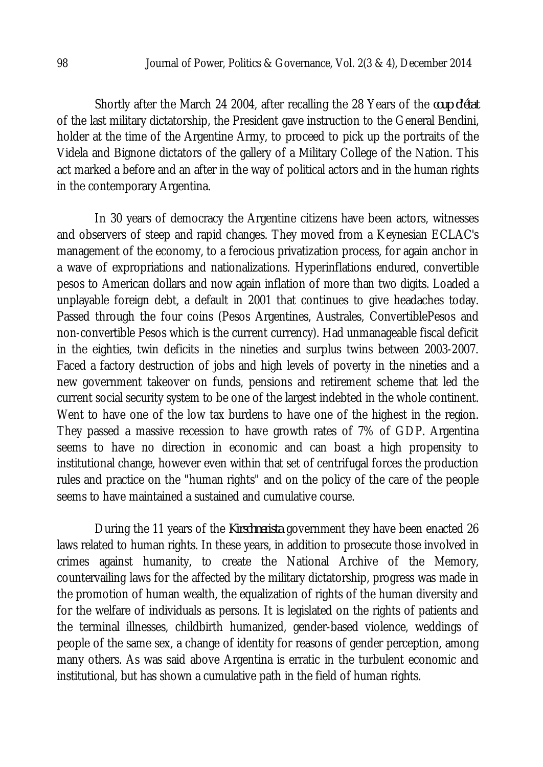Shortly after the March 24 2004, after recalling the 28 Years of the *coup d'état* of the last military dictatorship, the President gave instruction to the General Bendini, holder at the time of the Argentine Army, to proceed to pick up the portraits of the Videla and Bignone dictators of the gallery of a Military College of the Nation. This act marked a before and an after in the way of political actors and in the human rights in the contemporary Argentina.

In 30 years of democracy the Argentine citizens have been actors, witnesses and observers of steep and rapid changes. They moved from a Keynesian ECLAC's management of the economy, to a ferocious privatization process, for again anchor in a wave of expropriations and nationalizations. Hyperinflations endured, convertible pesos to American dollars and now again inflation of more than two digits. Loaded a unplayable foreign debt, a default in 2001 that continues to give headaches today. Passed through the four coins (Pesos Argentines, Australes, ConvertiblePesos and non-convertible Pesos which is the current currency). Had unmanageable fiscal deficit in the eighties, twin deficits in the nineties and surplus twins between 2003-2007. Faced a factory destruction of jobs and high levels of poverty in the nineties and a new government takeover on funds, pensions and retirement scheme that led the current social security system to be one of the largest indebted in the whole continent. Went to have one of the low tax burdens to have one of the highest in the region. They passed a massive recession to have growth rates of 7% of GDP. Argentina seems to have no direction in economic and can boast a high propensity to institutional change, however even within that set of centrifugal forces the production rules and practice on the "human rights" and on the policy of the care of the people seems to have maintained a sustained and cumulative course.

During the 11 years of the *Kirschnerista* government they have been enacted 26 laws related to human rights. In these years, in addition to prosecute those involved in crimes against humanity, to create the National Archive of the Memory, countervailing laws for the affected by the military dictatorship, progress was made in the promotion of human wealth, the equalization of rights of the human diversity and for the welfare of individuals as persons. It is legislated on the rights of patients and the terminal illnesses, childbirth humanized, gender-based violence, weddings of people of the same sex, a change of identity for reasons of gender perception, among many others. As was said above Argentina is erratic in the turbulent economic and institutional, but has shown a cumulative path in the field of human rights.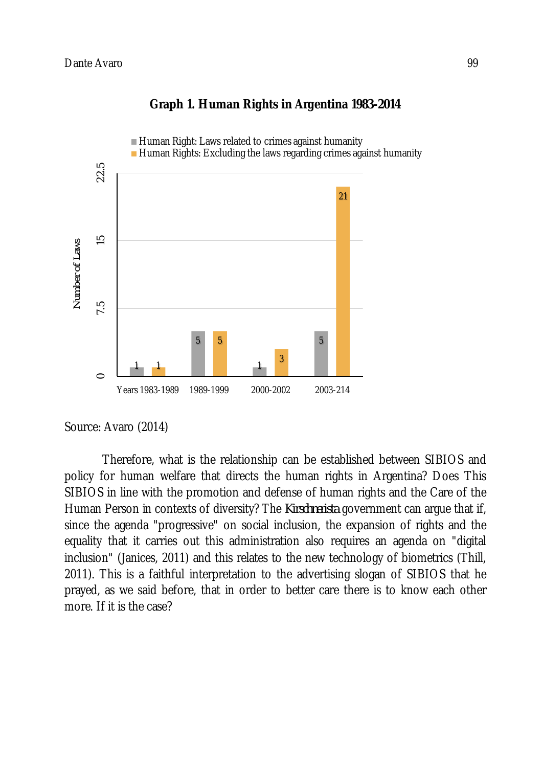

## **Graph 1. Human Rights in Argentina 1983-2014**

#### Source: Avaro (2014)

Therefore, what is the relationship can be established between SIBIOS and policy for human welfare that directs the human rights in Argentina? Does This SIBIOS in line with the promotion and defense of human rights and the Care of the Human Person in contexts of diversity? The *Kirschnerista* government can argue that if, since the agenda "progressive" on social inclusion, the expansion of rights and the equality that it carries out this administration also requires an agenda on "digital inclusion" (Janices, 2011) and this relates to the new technology of biometrics (Thill, 2011). This is a faithful interpretation to the advertising slogan of SIBIOS that he prayed, as we said before, that in order to better care there is to know each other more. If it is the case?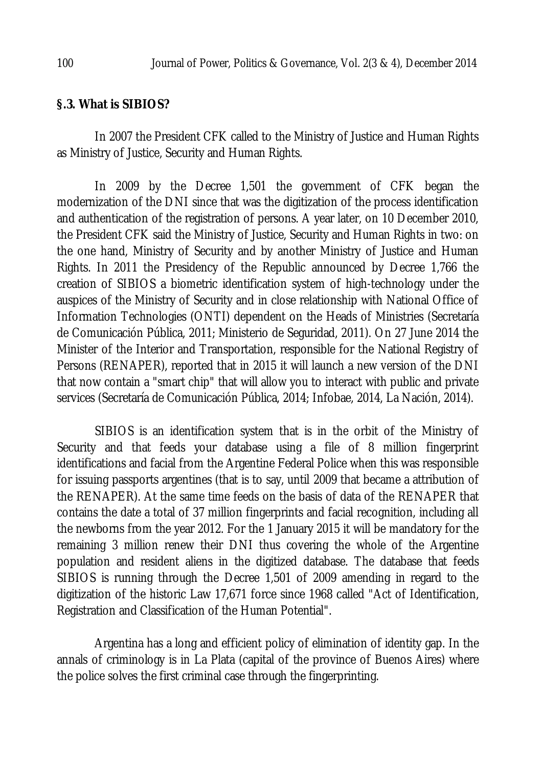#### **§.3. What is SIBIOS?**

In 2007 the President CFK called to the Ministry of Justice and Human Rights as Ministry of Justice, Security and Human Rights.

In 2009 by the Decree 1,501 the government of CFK began the modernization of the DNI since that was the digitization of the process identification and authentication of the registration of persons. A year later, on 10 December 2010, the President CFK said the Ministry of Justice, Security and Human Rights in two: on the one hand, Ministry of Security and by another Ministry of Justice and Human Rights. In 2011 the Presidency of the Republic announced by Decree 1,766 the creation of SIBIOS a biometric identification system of high-technology under the auspices of the Ministry of Security and in close relationship with National Office of Information Technologies (ONTI) dependent on the Heads of Ministries (Secretaría de Comunicación Pública, 2011; Ministerio de Seguridad, 2011). On 27 June 2014 the Minister of the Interior and Transportation, responsible for the National Registry of Persons (RENAPER), reported that in 2015 it will launch a new version of the DNI that now contain a "smart chip" that will allow you to interact with public and private services (Secretaría de Comunicación Pública, 2014; Infobae, 2014, La Nación, 2014).

SIBIOS is an identification system that is in the orbit of the Ministry of Security and that feeds your database using a file of 8 million fingerprint identifications and facial from the Argentine Federal Police when this was responsible for issuing passports argentines (that is to say, until 2009 that became a attribution of the RENAPER). At the same time feeds on the basis of data of the RENAPER that contains the date a total of 37 million fingerprints and facial recognition, including all the newborns from the year 2012. For the 1 January 2015 it will be mandatory for the remaining 3 million renew their DNI thus covering the whole of the Argentine population and resident aliens in the digitized database. The database that feeds SIBIOS is running through the Decree 1,501 of 2009 amending in regard to the digitization of the historic Law 17,671 force since 1968 called "Act of Identification, Registration and Classification of the Human Potential".

Argentina has a long and efficient policy of elimination of identity gap. In the annals of criminology is in La Plata (capital of the province of Buenos Aires) where the police solves the first criminal case through the fingerprinting.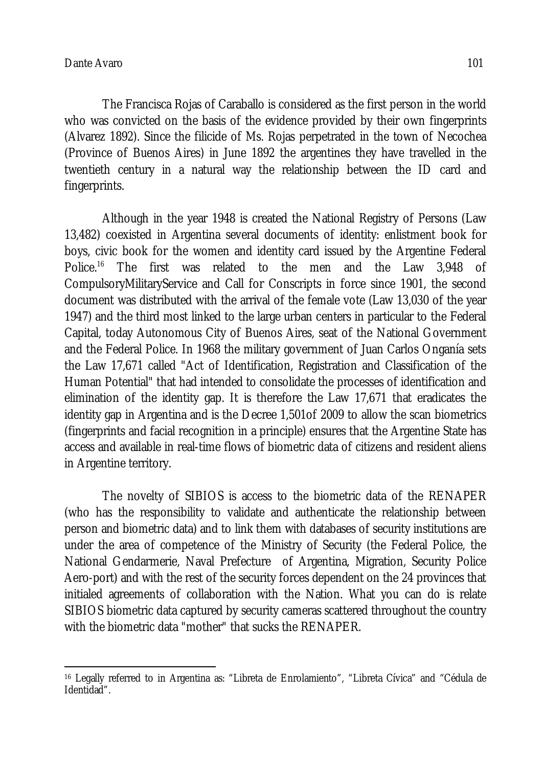The Francisca Rojas of Caraballo is considered as the first person in the world who was convicted on the basis of the evidence provided by their own fingerprints (Alvarez 1892). Since the filicide of Ms. Rojas perpetrated in the town of Necochea (Province of Buenos Aires) in June 1892 the argentines they have travelled in the twentieth century in a natural way the relationship between the ID card and fingerprints.

Although in the year 1948 is created the National Registry of Persons (Law 13,482) coexisted in Argentina several documents of identity: enlistment book for boys, civic book for the women and identity card issued by the Argentine Federal Police.<sup>16</sup> The first was related to the men and the Law 3,948 of CompulsoryMilitaryService and Call for Conscripts in force since 1901, the second document was distributed with the arrival of the female vote (Law 13,030 of the year 1947) and the third most linked to the large urban centers in particular to the Federal Capital, today Autonomous City of Buenos Aires, seat of the National Government and the Federal Police. In 1968 the military government of Juan Carlos Onganía sets the Law 17,671 called "Act of Identification, Registration and Classification of the Human Potential" that had intended to consolidate the processes of identification and elimination of the identity gap. It is therefore the Law 17,671 that eradicates the identity gap in Argentina and is the Decree 1,501of 2009 to allow the scan biometrics (fingerprints and facial recognition in a principle) ensures that the Argentine State has access and available in real-time flows of biometric data of citizens and resident aliens in Argentine territory.

The novelty of SIBIOS is access to the biometric data of the RENAPER (who has the responsibility to validate and authenticate the relationship between person and biometric data) and to link them with databases of security institutions are under the area of competence of the Ministry of Security (the Federal Police, the National Gendarmerie, Naval Prefecture of Argentina, Migration, Security Police Aero-port) and with the rest of the security forces dependent on the 24 provinces that initialed agreements of collaboration with the Nation. What you can do is relate SIBIOS biometric data captured by security cameras scattered throughout the country with the biometric data "mother" that sucks the RENAPER.

 $\overline{a}$ <sup>16</sup> Legally referred to in Argentina as: "Libreta de Enrolamiento", "Libreta Cívica" and "Cédula de Identidad".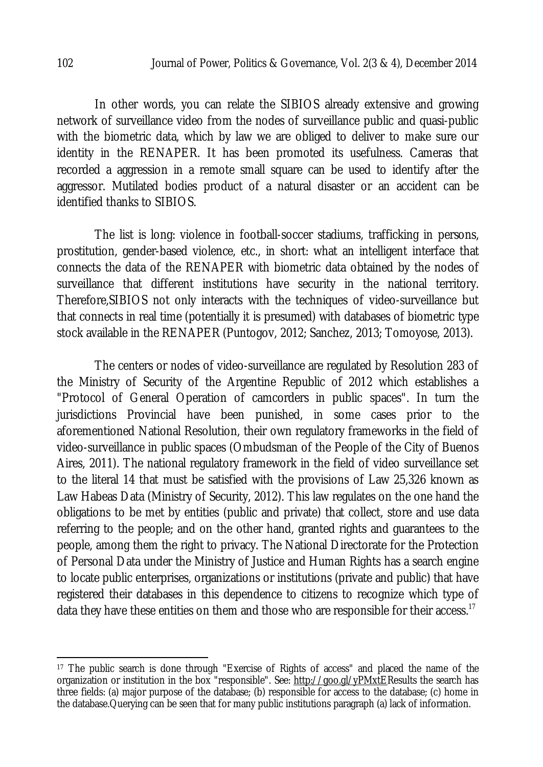In other words, you can relate the SIBIOS already extensive and growing network of surveillance video from the nodes of surveillance public and quasi-public with the biometric data, which by law we are obliged to deliver to make sure our identity in the RENAPER. It has been promoted its usefulness. Cameras that recorded a aggression in a remote small square can be used to identify after the aggressor. Mutilated bodies product of a natural disaster or an accident can be identified thanks to SIBIOS.

The list is long: violence in football-soccer stadiums, trafficking in persons, prostitution, gender-based violence, etc., in short: what an intelligent interface that connects the data of the RENAPER with biometric data obtained by the nodes of surveillance that different institutions have security in the national territory. Therefore,SIBIOS not only interacts with the techniques of video-surveillance but that connects in real time (potentially it is presumed) with databases of biometric type stock available in the RENAPER (Puntogov, 2012; Sanchez, 2013; Tomoyose, 2013).

The centers or nodes of video-surveillance are regulated by Resolution 283 of the Ministry of Security of the Argentine Republic of 2012 which establishes a "Protocol of General Operation of camcorders in public spaces". In turn the jurisdictions Provincial have been punished, in some cases prior to the aforementioned National Resolution, their own regulatory frameworks in the field of video-surveillance in public spaces (Ombudsman of the People of the City of Buenos Aires, 2011). The national regulatory framework in the field of video surveillance set to the literal 14 that must be satisfied with the provisions of Law 25,326 known as Law Habeas Data (Ministry of Security, 2012). This law regulates on the one hand the obligations to be met by entities (public and private) that collect, store and use data referring to the people; and on the other hand, granted rights and guarantees to the people, among them the right to privacy. The National Directorate for the Protection of Personal Data under the Ministry of Justice and Human Rights has a search engine to locate public enterprises, organizations or institutions (private and public) that have registered their databases in this dependence to citizens to recognize which type of data they have these entities on them and those who are responsible for their access.<sup>17</sup>

 $\overline{\phantom{a}}$ 

<sup>17</sup> The public search is done through "Exercise of Rights of access" and placed the name of the organization or institution in the box "responsible". See: http://goo.gl/yPMxtEResults the search has three fields: (a) major purpose of the database; (b) responsible for access to the database; (c) home in the database.Querying can be seen that for many public institutions paragraph (a) lack of information.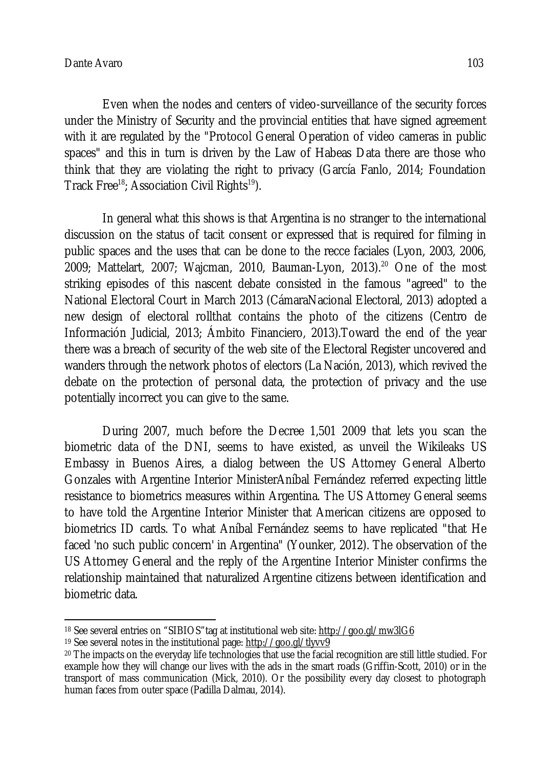Even when the nodes and centers of video-surveillance of the security forces under the Ministry of Security and the provincial entities that have signed agreement with it are regulated by the "Protocol General Operation of video cameras in public spaces" and this in turn is driven by the Law of Habeas Data there are those who think that they are violating the right to privacy (García Fanlo, 2014; Foundation Track Free<sup>18</sup>; Association Civil Rights<sup>19</sup>).

In general what this shows is that Argentina is no stranger to the international discussion on the status of tacit consent or expressed that is required for filming in public spaces and the uses that can be done to the recce faciales (Lyon, 2003, 2006, 2009; Mattelart, 2007; Wajcman, 2010, Bauman-Lyon, 2013). <sup>20</sup> One of the most striking episodes of this nascent debate consisted in the famous "agreed" to the National Electoral Court in March 2013 (CámaraNacional Electoral, 2013) adopted a new design of electoral rollthat contains the photo of the citizens (Centro de Información Judicial, 2013; Ámbito Financiero, 2013).Toward the end of the year there was a breach of security of the web site of the Electoral Register uncovered and wanders through the network photos of electors (La Nación, 2013), which revived the debate on the protection of personal data, the protection of privacy and the use potentially incorrect you can give to the same.

During 2007, much before the Decree 1,501 2009 that lets you scan the biometric data of the DNI, seems to have existed, as unveil the Wikileaks US Embassy in Buenos Aires, a dialog between the US Attorney General Alberto Gonzales with Argentine Interior MinisterAníbal Fernández referred expecting little resistance to biometrics measures within Argentina. The US Attorney General seems to have told the Argentine Interior Minister that American citizens are opposed to biometrics ID cards. To what Aníbal Fernández seems to have replicated "that He faced 'no such public concern' in Argentina" (Younker, 2012). The observation of the US Attorney General and the reply of the Argentine Interior Minister confirms the relationship maintained that naturalized Argentine citizens between identification and biometric data.

 $\overline{\phantom{a}}$ <sup>18</sup> See several entries on "SIBIOS"tag at institutional web site: http://goo.gl/mw3lG6

<sup>19</sup> See several notes in the institutional page: http://goo.gl/tlyvv9

<sup>20</sup> The impacts on the everyday life technologies that use the facial recognition are still little studied. For example how they will change our lives with the ads in the smart roads (Griffin-Scott, 2010) or in the transport of mass communication (Mick, 2010). Or the possibility every day closest to photograph human faces from outer space (Padilla Dalmau, 2014).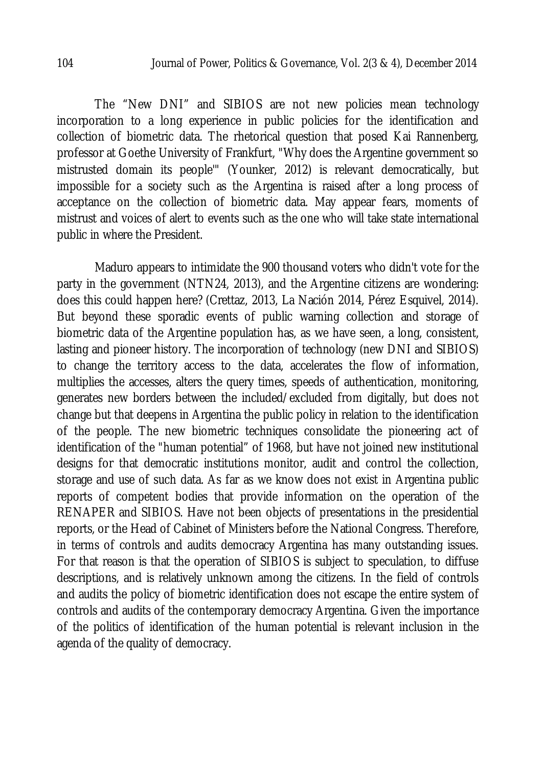The "New DNI" and SIBIOS are not new policies mean technology incorporation to a long experience in public policies for the identification and collection of biometric data. The rhetorical question that posed Kai Rannenberg, professor at Goethe University of Frankfurt, "Why does the Argentine government so mistrusted domain its people'" (Younker, 2012) is relevant democratically, but impossible for a society such as the Argentina is raised after a long process of acceptance on the collection of biometric data. May appear fears, moments of mistrust and voices of alert to events such as the one who will take state international public in where the President.

Maduro appears to intimidate the 900 thousand voters who didn't vote for the party in the government (NTN24, 2013), and the Argentine citizens are wondering: does this could happen here? (Crettaz, 2013, La Nación 2014, Pérez Esquivel, 2014). But beyond these sporadic events of public warning collection and storage of biometric data of the Argentine population has, as we have seen, a long, consistent, lasting and pioneer history. The incorporation of technology (new DNI and SIBIOS) to change the territory access to the data, accelerates the flow of information, multiplies the accesses, alters the query times, speeds of authentication, monitoring, generates new borders between the included/excluded from digitally, but does not change but that deepens in Argentina the public policy in relation to the identification of the people. The new biometric techniques consolidate the pioneering act of identification of the "human potential" of 1968, but have not joined new institutional designs for that democratic institutions monitor, audit and control the collection, storage and use of such data. As far as we know does not exist in Argentina public reports of competent bodies that provide information on the operation of the RENAPER and SIBIOS. Have not been objects of presentations in the presidential reports, or the Head of Cabinet of Ministers before the National Congress. Therefore, in terms of controls and audits democracy Argentina has many outstanding issues. For that reason is that the operation of SIBIOS is subject to speculation, to diffuse descriptions, and is relatively unknown among the citizens. In the field of controls and audits the policy of biometric identification does not escape the entire system of controls and audits of the contemporary democracy Argentina. Given the importance of the politics of identification of the human potential is relevant inclusion in the agenda of the quality of democracy.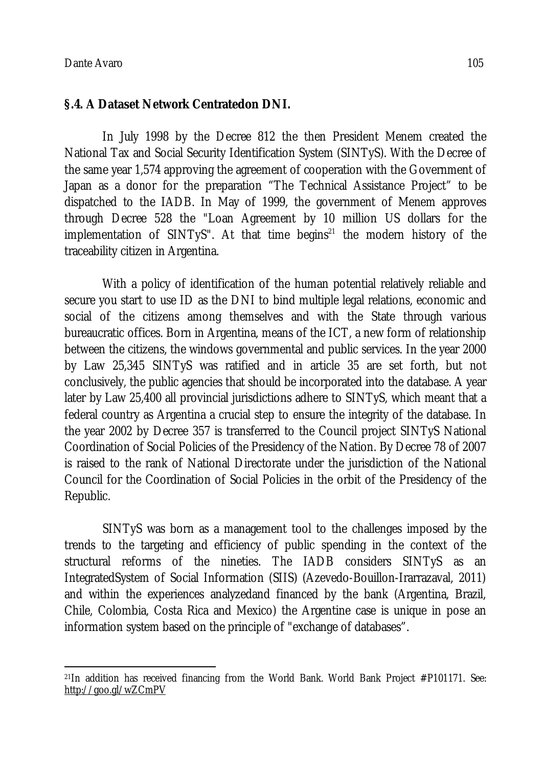#### **§.4. A Dataset Network Centratedon DNI.**

In July 1998 by the Decree 812 the then President Menem created the National Tax and Social Security Identification System (SINTyS). With the Decree of the same year 1,574 approving the agreement of cooperation with the Government of Japan as a donor for the preparation "The Technical Assistance Project" to be dispatched to the IADB. In May of 1999, the government of Menem approves through Decree 528 the "Loan Agreement by 10 million US dollars for the implementation of SINTyS". At that time begins<sup>21</sup> the modern history of the traceability citizen in Argentina.

With a policy of identification of the human potential relatively reliable and secure you start to use ID as the DNI to bind multiple legal relations, economic and social of the citizens among themselves and with the State through various bureaucratic offices. Born in Argentina, means of the ICT, a new form of relationship between the citizens, the windows governmental and public services. In the year 2000 by Law 25,345 SINTyS was ratified and in article 35 are set forth, but not conclusively, the public agencies that should be incorporated into the database. A year later by Law 25,400 all provincial jurisdictions adhere to SINTyS, which meant that a federal country as Argentina a crucial step to ensure the integrity of the database. In the year 2002 by Decree 357 is transferred to the Council project SINTyS National Coordination of Social Policies of the Presidency of the Nation. By Decree 78 of 2007 is raised to the rank of National Directorate under the jurisdiction of the National Council for the Coordination of Social Policies in the orbit of the Presidency of the Republic.

SINTyS was born as a management tool to the challenges imposed by the trends to the targeting and efficiency of public spending in the context of the structural reforms of the nineties. The IADB considers SINTyS as an IntegratedSystem of Social Information (SIIS) (Azevedo-Bouillon-Irarrazaval, 2011) and within the experiences analyzedand financed by the bank (Argentina, Brazil, Chile, Colombia, Costa Rica and Mexico) the Argentine case is unique in pose an information system based on the principle of "exchange of databases".

 $\overline{a}$ <sup>21</sup>In addition has received financing from the World Bank. World Bank Project #P101171. See: http://goo.gl/wZCmPV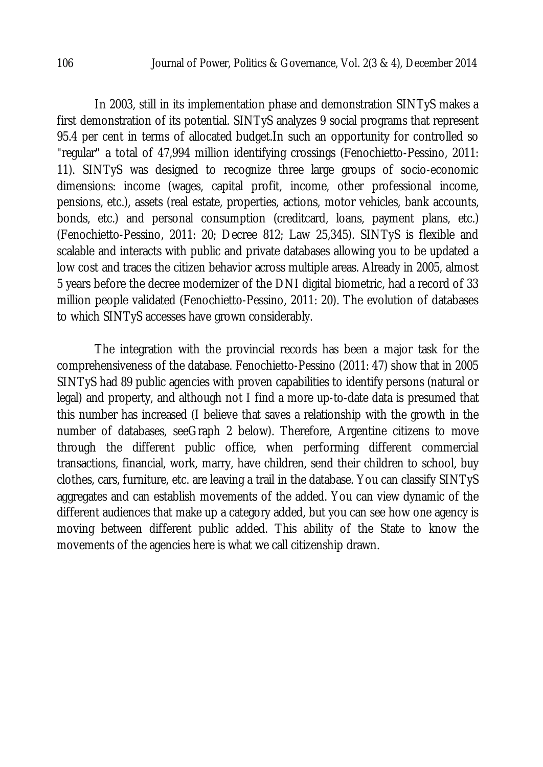In 2003, still in its implementation phase and demonstration SINTyS makes a first demonstration of its potential. SINTyS analyzes 9 social programs that represent 95.4 per cent in terms of allocated budget.In such an opportunity for controlled so "regular" a total of 47,994 million identifying crossings (Fenochietto-Pessino, 2011: 11). SINTyS was designed to recognize three large groups of socio-economic dimensions: income (wages, capital profit, income, other professional income, pensions, etc.), assets (real estate, properties, actions, motor vehicles, bank accounts, bonds, etc.) and personal consumption (creditcard, loans, payment plans, etc.) (Fenochietto-Pessino, 2011: 20; Decree 812; Law 25,345). SINTyS is flexible and scalable and interacts with public and private databases allowing you to be updated a low cost and traces the citizen behavior across multiple areas. Already in 2005, almost 5 years before the decree modernizer of the DNI digital biometric, had a record of 33 million people validated (Fenochietto-Pessino, 2011: 20). The evolution of databases to which SINTyS accesses have grown considerably.

The integration with the provincial records has been a major task for the comprehensiveness of the database. Fenochietto-Pessino (2011: 47) show that in 2005 SINTyS had 89 public agencies with proven capabilities to identify persons (natural or legal) and property, and although not I find a more up-to-date data is presumed that this number has increased (I believe that saves a relationship with the growth in the number of databases, seeGraph 2 below). Therefore, Argentine citizens to move through the different public office, when performing different commercial transactions, financial, work, marry, have children, send their children to school, buy clothes, cars, furniture, etc. are leaving a trail in the database. You can classify SINTyS aggregates and can establish movements of the added. You can view dynamic of the different audiences that make up a category added, but you can see how one agency is moving between different public added. This ability of the State to know the movements of the agencies here is what we call citizenship drawn.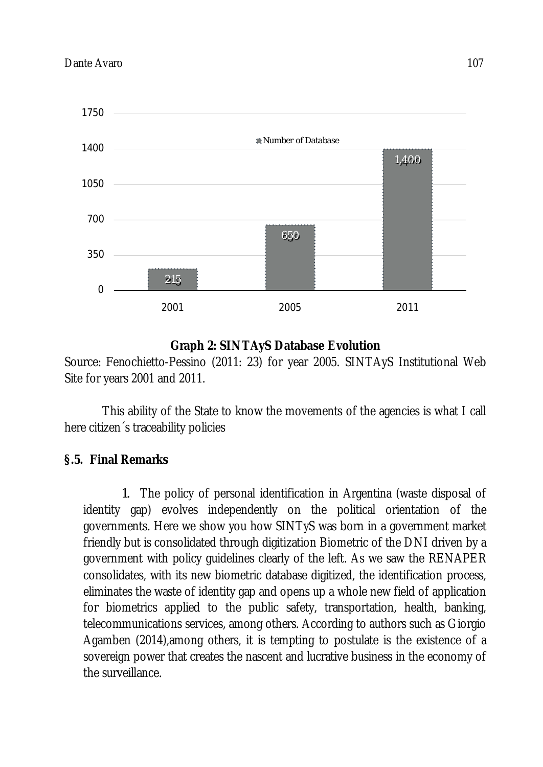

## **Graph 2: SINTAyS Database Evolution**

Source: Fenochietto-Pessino (2011: 23) for year 2005. SINTAyS Institutional Web Site for years 2001 and 2011.

This ability of the State to know the movements of the agencies is what I call here citizen´s traceability policies

## **§.5. Final Remarks**

1. The policy of personal identification in Argentina (waste disposal of identity gap) evolves independently on the political orientation of the governments. Here we show you how SINTyS was born in a government market friendly but is consolidated through digitization Biometric of the DNI driven by a government with policy guidelines clearly of the left. As we saw the RENAPER consolidates, with its new biometric database digitized, the identification process, eliminates the waste of identity gap and opens up a whole new field of application for biometrics applied to the public safety, transportation, health, banking, telecommunications services, among others. According to authors such as Giorgio Agamben (2014),among others, it is tempting to postulate is the existence of a sovereign power that creates the nascent and lucrative business in the economy of the surveillance.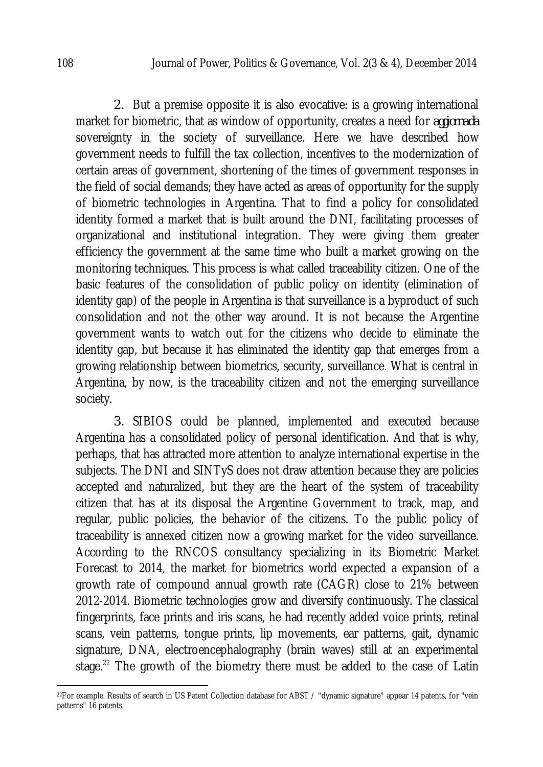2. But a premise opposite it is also evocative: is a growing international market for biometric, that as window of opportunity, creates a need for *aggiornada* sovereignty in the society of surveillance. Here we have described how government needs to fulfill the tax collection, incentives to the modernization of certain areas of government, shortening of the times of government responses in the field of social demands; they have acted as areas of opportunity for the supply of biometric technologies in Argentina. That to find a policy for consolidated identity formed a market that is built around the DNI, facilitating processes of organizational and institutional integration. They were giving them greater efficiency the government at the same time who built a market growing on the monitoring techniques. This process is what called traceability citizen. One of the basic features of the consolidation of public policy on identity (elimination of identity gap) of the people in Argentina is that surveillance is a byproduct of such consolidation and not the other way around. It is not because the Argentine government wants to watch out for the citizens who decide to eliminate the identity gap, but because it has eliminated the identity gap that emerges from a growing relationship between biometrics, security, surveillance. What is central in Argentina, by now, is the traceability citizen and not the emerging surveillance society.

3. SIBIOS could be planned, implemented and executed because Argentina has a consolidated policy of personal identification. And that is why, perhaps, that has attracted more attention to analyze international expertise in the subjects. The DNI and SINTyS does not draw attention because they are policies accepted and naturalized, but they are the heart of the system of traceability citizen that has at its disposal the Argentine Government to track, map, and regular, public policies, the behavior of the citizens. To the public policy of traceability is annexed citizen now a growing market for the video surveillance. According to the RNCOS consultancy specializing in its Biometric Market Forecast to 2014, the market for biometrics world expected a expansion of a growth rate of compound annual growth rate (CAGR) close to 21% between 2012-2014. Biometric technologies grow and diversify continuously. The classical fingerprints, face prints and iris scans, he had recently added voice prints, retinal scans, vein patterns, tongue prints, lip movements, ear patterns, gait, dynamic signature, DNA, electroencephalography (brain waves) still at an experimental stage.<sup>22</sup> The growth of the biometry there must be added to the case of Latin

 $\overline{a}$ 

<sup>22</sup>For example. Results of search in US Patent Collection database for ABST / "dynamic signature" appear 14 patents, for "vein patterns" 16 patents.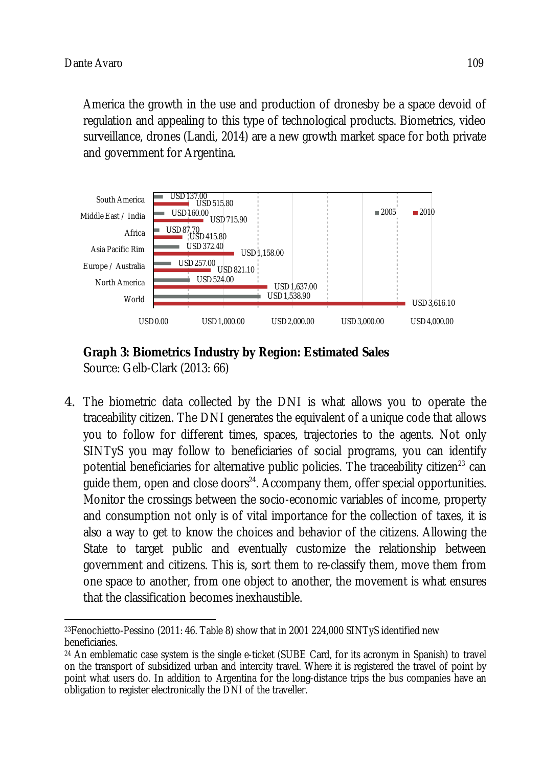America the growth in the use and production of dronesby be a space devoid of regulation and appealing to this type of technological products. Biometrics, video surveillance, drones (Landi, 2014) are a new growth market space for both private and government for Argentina.





4. The biometric data collected by the DNI is what allows you to operate the traceability citizen. The DNI generates the equivalent of a unique code that allows you to follow for different times, spaces, trajectories to the agents. Not only SINTyS you may follow to beneficiaries of social programs, you can identify potential beneficiaries for alternative public policies. The traceability citizen<sup>23</sup> can guide them, open and close doors $^{\scriptscriptstyle 24}$ . Accompany them, offer special opportunities. Monitor the crossings between the socio-economic variables of income, property and consumption not only is of vital importance for the collection of taxes, it is also a way to get to know the choices and behavior of the citizens. Allowing the State to target public and eventually customize the relationship between government and citizens. This is, sort them to re-classify them, move them from one space to another, from one object to another, the movement is what ensures that the classification becomes inexhaustible.

 $\overline{\phantom{a}}$ <sup>23</sup>Fenochietto-Pessino (2011: 46. Table 8) show that in 2001 224,000 SINTyS identified new beneficiaries.

<sup>24</sup> An emblematic case system is the single e-ticket (SUBE Card, for its acronym in Spanish) to travel on the transport of subsidized urban and intercity travel. Where it is registered the travel of point by point what users do. In addition to Argentina for the long-distance trips the bus companies have an obligation to register electronically the DNI of the traveller.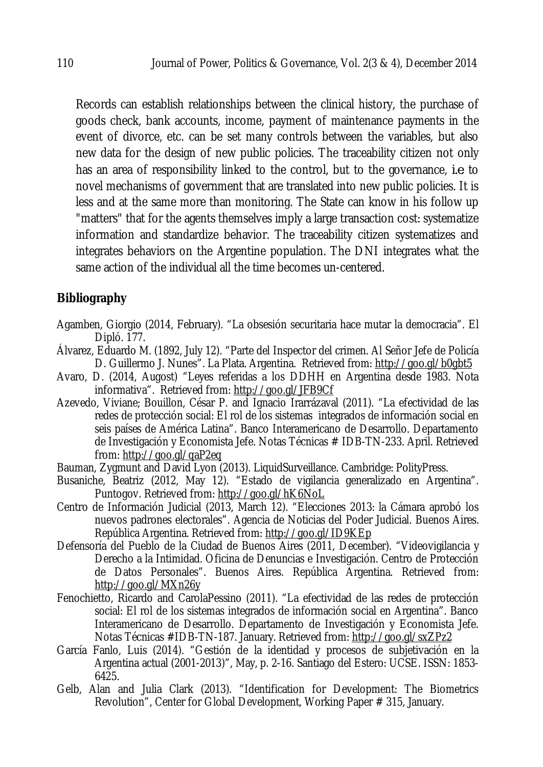Records can establish relationships between the clinical history, the purchase of goods check, bank accounts, income, payment of maintenance payments in the event of divorce, etc. can be set many controls between the variables, but also new data for the design of new public policies. The traceability citizen not only has an area of responsibility linked to the control, but to the governance, *i.e*. to novel mechanisms of government that are translated into new public policies. It is less and at the same more than monitoring. The State can know in his follow up "matters" that for the agents themselves imply a large transaction cost: systematize information and standardize behavior. The traceability citizen systematizes and integrates behaviors on the Argentine population. The DNI integrates what the same action of the individual all the time becomes un-centered.

## **Bibliography**

- Agamben, Giorgio (2014, February). "La obsesión securitaria hace mutar la democracia". El Dipló. 177.
- Álvarez, Eduardo M. (1892, July 12). "Parte del Inspector del crimen. Al Señor Jefe de Policía D. Guillermo J. Nunes". La Plata. Argentina. Retrieved from: http://goo.gl/b0gbt5
- Avaro, D. (2014, Augost) "Leyes referidas a los DDHH en Argentina desde 1983. Nota informativa". Retrieved from: http://goo.gl/JFB9Cf
- Azevedo, Viviane; Bouillon, César P. and Ignacio Irarrázaval (2011). "La efectividad de las redes de protección social: El rol de los sistemas integrados de información social en seis países de América Latina". Banco Interamericano de Desarrollo. Departamento de Investigación y Economista Jefe. Notas Técnicas # IDB-TN-233. April. Retrieved from: http://goo.gl/qaP2eq
- Bauman, Zygmunt and David Lyon (2013). LiquidSurveillance. Cambridge: PolityPress.
- Busaniche, Beatriz (2012, May 12). "Estado de vigilancia generalizado en Argentina". Puntogov. Retrieved from: http://goo.gl/hK6NoL
- Centro de Información Judicial (2013, March 12). "Elecciones 2013: la Cámara aprobó los nuevos padrones electorales". Agencia de Noticias del Poder Judicial. Buenos Aires. República Argentina. Retrieved from: http://goo.gl/ID9KEp
- Defensoría del Pueblo de la Ciudad de Buenos Aires (2011, December). "Videovigilancia y Derecho a la Intimidad. Oficina de Denuncias e Investigación. Centro de Protección de Datos Personales". Buenos Aires. República Argentina. Retrieved from: http://goo.gl/MXn26y
- Fenochietto, Ricardo and CarolaPessino (2011). "La efectividad de las redes de protección social: El rol de los sistemas integrados de información social en Argentina". Banco Interamericano de Desarrollo. Departamento de Investigación y Economista Jefe. Notas Técnicas #IDB-TN-187. January. Retrieved from: http://goo.gl/sxZPz2
- García Fanlo, Luis (2014). "Gestión de la identidad y procesos de subjetivación en la Argentina actual (2001-2013)", May, p. 2-16. Santiago del Estero: UCSE. ISSN: 1853- 6425.
- Gelb, Alan and Julia Clark (2013). "Identification for Development: The Biometrics Revolution", Center for Global Development, Working Paper # 315, January.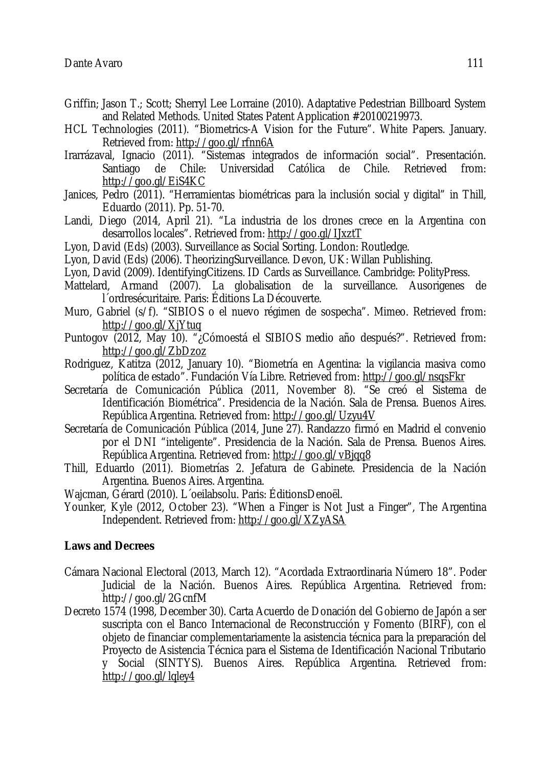- Griffin; Jason T.; Scott; Sherryl Lee Lorraine (2010). Adaptative Pedestrian Billboard System and Related Methods. United States Patent Application #20100219973.
- HCL Technologies (2011). "Biometrics-A Vision for the Future". White Papers. January. Retrieved from: http://goo.gl/rfnn6A
- Irarrázaval, Ignacio (2011). "Sistemas integrados de información social". Presentación. Santiago de Chile: Universidad Católica de Chile. Retrieved from: http://goo.gl/EiS4KC
- Janices, Pedro (2011). "Herramientas biométricas para la inclusión social y digital" in Thill, Eduardo (2011). Pp. 51-70.
- Landi, Diego (2014, April 21). "La industria de los drones crece en la Argentina con desarrollos locales". Retrieved from: http://goo.gl/IJxztT
- Lyon, David (Eds) (2003). Surveillance as Social Sorting. London: Routledge.
- Lyon, David (Eds) (2006). TheorizingSurveillance. Devon, UK: Willan Publishing.
- Lyon, David (2009). IdentifyingCitizens. ID Cards as Surveillance. Cambridge: PolityPress.
- Mattelard, Armand (2007). La globalisation de la surveillance. Ausorigenes de l´ordresécuritaire. Paris: Éditions La Découverte.
- Muro, Gabriel (s/f). "SIBIOS o el nuevo régimen de sospecha". Mimeo. Retrieved from: http://goo.gl/XjYtuq
- Puntogov (2012, May 10). "¿Cómoestá el SIBIOS medio año después?". Retrieved from: http://goo.gl/ZbDzoz
- Rodriguez, Katitza (2012, January 10). "Biometría en Agentina: la vigilancia masiva como política de estado". Fundación Vía Libre. Retrieved from: http://goo.gl/nsqsFkr
- Secretaría de Comunicación Pública (2011, November 8). "Se creó el Sistema de Identificación Biométrica". Presidencia de la Nación. Sala de Prensa. Buenos Aires. República Argentina. Retrieved from: http://goo.gl/Uzyu4V
- Secretaría de Comunicación Pública (2014, June 27). Randazzo firmó en Madrid el convenio por el DNI "inteligente". Presidencia de la Nación. Sala de Prensa. Buenos Aires. República Argentina. Retrieved from: http://goo.gl/vBjqq8
- Thill, Eduardo (2011). Biometrías 2. Jefatura de Gabinete. Presidencia de la Nación Argentina. Buenos Aires. Argentina.
- Wajcman, Gérard (2010). L´oeilabsolu. Paris: ÉditionsDenoël.
- Younker, Kyle (2012, October 23). "When a Finger is Not Just a Finger", The Argentina Independent. Retrieved from: http://goo.gl/XZyASA

#### **Laws and Decrees**

- Cámara Nacional Electoral (2013, March 12). "Acordada Extraordinaria Número 18". Poder Judicial de la Nación. Buenos Aires. República Argentina. Retrieved from: http://goo.gl/2GcnfM
- Decreto 1574 (1998, December 30). Carta Acuerdo de Donación del Gobierno de Japón a ser suscripta con el Banco Internacional de Reconstrucción y Fomento (BIRF), con el objeto de financiar complementariamente la asistencia técnica para la preparación del Proyecto de Asistencia Técnica para el Sistema de Identificación Nacional Tributario y Social (SINTYS). Buenos Aires. República Argentina. Retrieved from: http://goo.gl/lqley4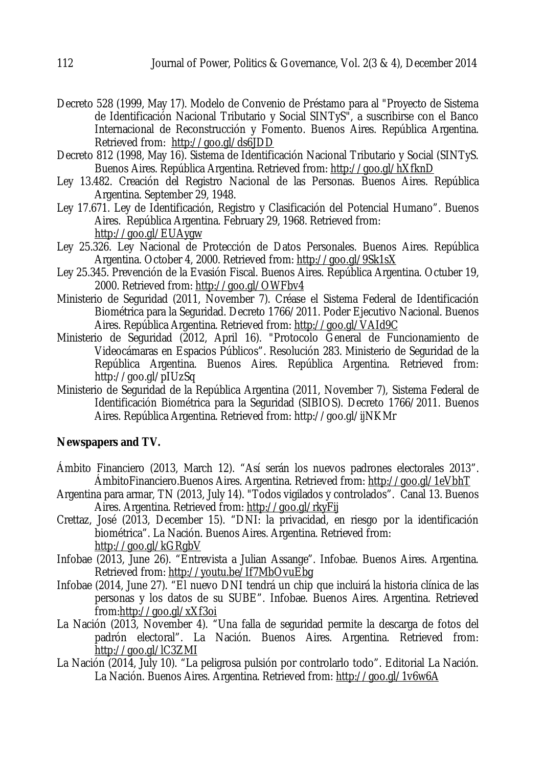- Decreto 528 (1999, May 17). Modelo de Convenio de Préstamo para al "Proyecto de Sistema de Identificación Nacional Tributario y Social SINTyS", a suscribirse con el Banco Internacional de Reconstrucción y Fomento. Buenos Aires. República Argentina. Retrieved from: http://goo.gl/ds6JDD
- Decreto 812 (1998, May 16). Sistema de Identificación Nacional Tributario y Social (SINTyS. Buenos Aires. República Argentina. Retrieved from: http://goo.gl/hXfknD
- Ley 13.482. Creación del Registro Nacional de las Personas. Buenos Aires. República Argentina. September 29, 1948.
- Ley 17.671. Ley de Identificación, Registro y Clasificación del Potencial Humano". Buenos Aires. República Argentina. February 29, 1968. Retrieved from: http://goo.gl/EUAygw
- Ley 25.326. Ley Nacional de Protección de Datos Personales. Buenos Aires. República Argentina. October 4, 2000. Retrieved from: http://goo.gl/9Sk1sX
- Ley 25.345. Prevención de la Evasión Fiscal. Buenos Aires. República Argentina. Octuber 19, 2000. Retrieved from: http://goo.gl/OWFbv4
- Ministerio de Seguridad (2011, November 7). Créase el Sistema Federal de Identificación Biométrica para la Seguridad. Decreto 1766/2011. Poder Ejecutivo Nacional. Buenos Aires. República Argentina. Retrieved from: http://goo.gl/VAId9C
- Ministerio de Seguridad (2012, April 16). "Protocolo General de Funcionamiento de Videocámaras en Espacios Públicos". Resolución 283. Ministerio de Seguridad de la República Argentina. Buenos Aires. República Argentina. Retrieved from: http://goo.gl/pIUzSq
- Ministerio de Seguridad de la República Argentina (2011, November 7), Sistema Federal de Identificación Biométrica para la Seguridad (SIBIOS). Decreto 1766/2011. Buenos Aires. República Argentina. Retrieved from: http://goo.gl/ijNKMr

#### **Newspapers and TV.**

- Ámbito Financiero (2013, March 12). "Así serán los nuevos padrones electorales 2013". ÁmbitoFinanciero.Buenos Aires. Argentina. Retrieved from: http://goo.gl/1eVbhT
- Argentina para armar, TN (2013, July 14). "Todos vigilados y controlados". Canal 13. Buenos Aires. Argentina. Retrieved from: http://goo.gl/rkyFij
- Crettaz, José (2013, December 15). "DNI: la privacidad, en riesgo por la identificación biométrica". La Nación. Buenos Aires. Argentina. Retrieved from: http://goo.gl/kGRgbV
- Infobae (2013, June 26). "Entrevista a Julian Assange". Infobae. Buenos Aires. Argentina. Retrieved from: http://youtu.be/If7MbOvuEbg
- Infobae (2014, June 27). "El nuevo DNI tendrá un chip que incluirá la historia clínica de las personas y los datos de su SUBE". Infobae. Buenos Aires. Argentina. Retrieved from:http://goo.gl/xXf3oi
- La Nación (2013, November 4). "Una falla de seguridad permite la descarga de fotos del padrón electoral". La Nación. Buenos Aires. Argentina. Retrieved from: http://goo.gl/lC3ZMI
- La Nación (2014, July 10). "La peligrosa pulsión por controlarlo todo". Editorial La Nación. La Nación. Buenos Aires. Argentina. Retrieved from: http://goo.gl/1v6w6A